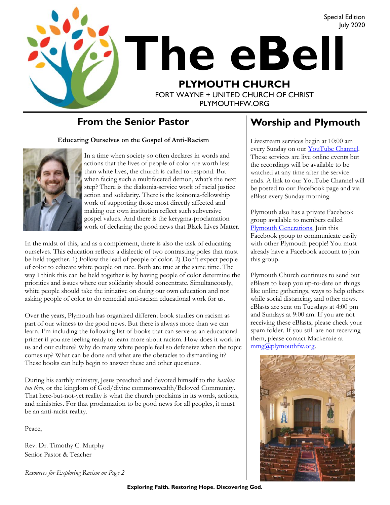

#### **From the Senior Pastor**

**Educating Ourselves on the Gospel of Anti-Racism**



In a time when society so often declares in words and actions that the lives of people of color are worth less than white lives, the church is called to respond. But when facing such a multifaceted demon, what's the next step? There is the diakonia-service work of racial justice action and solidarity. There is the koinonia-fellowship work of supporting those most directly affected and making our own institution reflect such subversive gospel values. And there is the kerygma-proclamation work of declaring the good news that Black Lives Matter.

In the midst of this, and as a complement, there is also the task of educating ourselves. This education reflects a dialectic of two contrasting poles that must be held together. 1) Follow the lead of people of color. 2) Don't expect people of color to educate white people on race. Both are true at the same time. The way I think this can be held together is by having people of color determine the priorities and issues where our solidarity should concentrate. Simultaneously, white people should take the initiative on doing our own education and not asking people of color to do remedial anti-racism educational work for us.

Over the years, Plymouth has organized different book studies on racism as part of our witness to the good news. But there is always more than we can learn. I'm including the following list of books that can serve as an educational primer if you are feeling ready to learn more about racism. How does it work in us and our culture? Why do many white people feel so defensive when the topic comes up? What can be done and what are the obstacles to dismantling it? These books can help begin to answer these and other questions.

During his earthly ministry, Jesus preached and devoted himself to the *basileia tou theo*, or the kingdom of God/divine commonwealth/Beloved Community. That here-but-not-yet reality is what the church proclaims in its words, actions, and ministries. For that proclamation to be good news for all peoples, it must be an anti-racist reality.

Peace,

Rev. Dr. Timothy C. Murphy Senior Pastor & Teacher

*Resources for Exploring Racism on Page 2*

## **Worship and Plymouth**

Livestream services begin at 10:00 am every Sunday on our **YouTube Channel**. These services are live online events but the recordings will be available to be watched at any time after the service ends. A link to our YouTube Channel will be posted to our FaceBook page and via eBlast every Sunday morning.

Plymouth also has a private Facebook group available to members called [Plymouth Generations.](https://www.facebook.com/groups/1487066224952817/) Join this Facebook group to communicate easily with other Plymouth people! You must already have a Facebook account to join this group.

Plymouth Church continues to send out eBlasts to keep you up-to-date on things like online gatherings, ways to help others while social distancing, and other news. eBlasts are sent on Tuesdays at 4:00 pm and Sundays at 9:00 am. If you are not receiving these eBlasts, please check your spam folder. If you still are not receiving them, please contact Mackenzie at [mmg@plymouthfw.org.](mailto:mmg@plymouthfw.org)

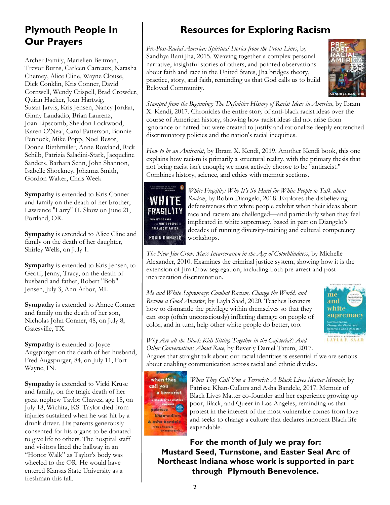#### **Plymouth People In Our Prayers**

Archer Family, Mariellen Beitman, Trevor Burns, Carleen Carteaux, Natasha Chemey, Alice Cline, Wayne Clouse, Dick Conklin, Kris Conner, David Cornwell, Wendy Crispell, Brad Crowder, Quinn Hacker, Joan Hartwig, Susan Jarvis, Kris Jensen, Nancy Jordan, Ginny Laudadio, Brian Laurenz, Joan Lipscomb, Sheldon Lockwood, Karen O'Neal, Carol Patterson, Bonnie Pennock, Mike Popp, Noel Resor, Donna Riethmiller, Anne Rowland, Rick Schilb, Patrizia Saladini-Stark, Jacqueline Sanders, Barbara Senn, John Shannon, Isabelle Shockney, Johanna Smith, Gordon Walter, Chris Week

**Sympathy** is extended to Kris Conner and family on the death of her brother, Lawrence "Larry" H. Skow on June 21, Portland, OR.

**Sympathy** is extended to Alice Cline and family on the death of her daughter, Shirley Wells, on July 1.

**Sympathy** is extended to Kris Jensen, to Geoff, Jenny, Tracy, on the death of husband and father, Robert "Bob" Jensen, July 3, Ann Arbor, MI.

**Sympathy** is extended to Ahnee Conner and family on the death of her son, Nicholas John Conner, 48, on July 8, Gatesville, TX.

**Sympathy** is extended to Joyce Augspurger on the death of her husband, Fred Augspurger, 84, on July 11, Fort Wayne, IN.

**Sympathy** is extended to Vicki Kruse and family, on the tragic death of her great nephew Taylor Chavez, age 18, on July 18, Wichita, KS. Taylor died from injuries sustained when he was hit by a drunk driver. His parents generously consented for his organs to be donated to give life to others. The hospital staff and visitors lined the hallway in an "Honor Walk" as Taylor's body was wheeled to the OR. He would have entered Kansas State University as a freshman this fall.

# **Resources for Exploring Racism**

*Pre-Post-Racial America: Spiritual Stories from the Front Lines*, by Sandhya Rani Jha, 2015. Weaving together a complex personal narrative, insightful stories of others, and pointed observations about faith and race in the United States, Jha bridges theory, practice, story, and faith, reminding us that God calls us to build Beloved Community.



*Stamped from the Beginning: The Definitive History of Racist Ideas in America*, by Ibram X. Kendi, 2017. Chronicles the entire story of anti-black racist ideas over the course of American history, showing how racist ideas did not arise from ignorance or hatred but were created to justify and rationalize deeply entrenched discriminatory policies and the nation's racial inequities.

*How to be an Antiracist*, by Ibram X. Kendi, 2019. Another Kendi book, this one explains how racism is primarily a structural reality, with the primary thesis that not being racist isn't enough; we must actively choose to be "antiracist." Combines history, science, and ethics with memoir sections.



*White Fragility: Why It's So Hard for White People to Talk about Racism*, by Robin Diangelo, 2018. Explores the disbelieving defensiveness that white people exhibit when their ideas about race and racism are challenged—and particularly when they feel implicated in white supremacy, based in part on Diangelo's decades of running diversity-training and cultural competency workshops.

*The New Jim Crow: Mass Incarceration in the Age of Colorblindness*, by Michelle Alexander, 2010. Examines the criminal justice system, showing how it is the extension of Jim Crow segregation, including both pre-arrest and postincarceration discrimination.

*Me and White Supremacy: Combat Racism, Change the World, and Become a Good Ancestor*, by Layla Saad, 2020. Teaches listeners how to dismantle the privilege within themselves so that they can stop (often unconsciously) inflicting damage on people of color, and in turn, help other white people do better, too.



*Why Are all the Black Kids Sitting Together in the Cafeteria?: And* 

*Other Conversations About Race*, by Beverly Daniel Tatum, 2017. Argues that straight talk about our racial identities is essential if we are serious about enabling communication across racial and ethnic divides.



*When They Call You a Terrorist: A Black Lives Matter Memoir*, by Patrisse Khan-Cullors and Asha Bandele, 2017. Memoir of Black Lives Matter co-founder and her experience growing up poor, Black, and Queer in Los Angeles, reminding us that protest in the interest of the most vulnerable comes from love and seeks to change a culture that declares innocent Black life expendable.

**For the month of July we pray for: Mustard Seed, Turnstone, and Easter Seal Arc of Northeast Indiana whose work is supported in part through Plymouth Benevolence.**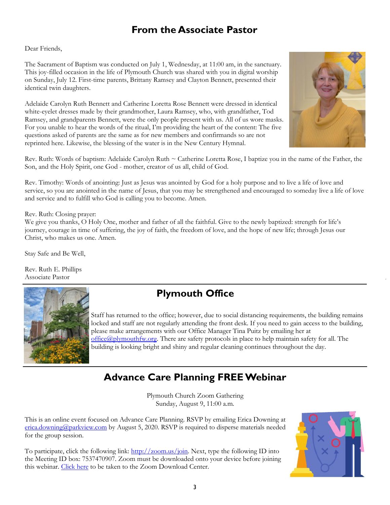## **From the Associate Pastor**

Dear Friends,

The Sacrament of Baptism was conducted on July 1, Wednesday, at 11:00 am, in the sanctuary. This joy-filled occasion in the life of Plymouth Church was shared with you in digital worship on Sunday, July 12. First-time parents, Brittany Ramsey and Clayton Bennett, presented their identical twin daughters.

Adelaide Carolyn Ruth Bennett and Catherine Loretta Rose Bennett were dressed in identical white-eyelet dresses made by their grandmother, Laura Ramsey, who, with grandfather, Tod Ramsey, and grandparents Bennett, were the only people present with us. All of us wore masks. For you unable to hear the words of the ritual, I'm providing the heart of the content: The five questions asked of parents are the same as for new members and confirmands so are not reprinted here. Likewise, the blessing of the water is in the New Century Hymnal.



Rev. Ruth: Words of baptism: Adelaide Carolyn Ruth ~ Catherine Loretta Rose, I baptize you in the name of the Father, the Son, and the Holy Spirit, one God - mother, creator of us all, child of God.

Rev. Timothy: Words of anointing: Just as Jesus was anointed by God for a holy purpose and to live a life of love and service, so you are anointed in the name of Jesus, that you may be strengthened and encouraged to someday live a life of love and service and to fulfill who God is calling you to become. Amen.

Rev. Ruth: Closing prayer:

We give you thanks, O Holy One, mother and father of all the faithful. Give to the newly baptized: strength for life's journey, courage in time of suffering, the joy of faith, the freedom of love, and the hope of new life; through Jesus our Christ, who makes us one. Amen.

Stay Safe and Be Well,

Rev. Ruth E. Phillips Associate Pastor



## **Plymouth Office**

Staff has returned to the office; however, due to social distancing requirements, the building remains locked and staff are not regularly attending the front desk. If you need to gain access to the building, please make arrangements with our Office Manager Tina Puitz by emailing her at [office@plymouthfw.org.](mailto:office@plymouthfw.org) There are safety protocols in place to help maintain safety for all. The building is looking bright and shiny and regular cleaning continues throughout the day.

## **Advance Care Planning FREE Webinar**

Plymouth Church Zoom Gathering Sunday, August 9, 11:00 a.m.

This is an online event focused on Advance Care Planning. RSVP by emailing Erica Downing at [erica.downing@parkview.com](mailto:erica.downing@parkview.com) by August 5, 2020. RSVP is required to disperse materials needed for the group session.

To participate, click the following link: [http://zoom.us/join.](http://zoom.us/join) Next, type the following ID into the Meeting ID box: 7537470907. Zoom must be downloaded onto your device before joining this webinar. [Click here](https://www.zoom.us/download#client_4meeting) to be taken to the Zoom Download Center.

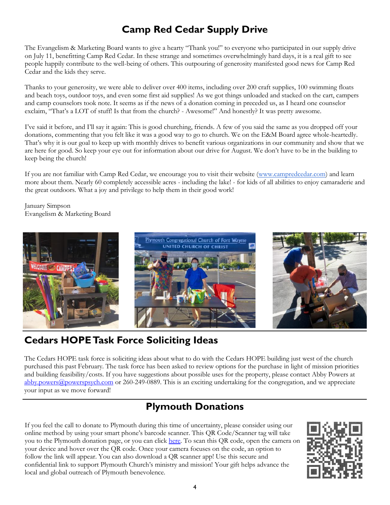## **Camp Red Cedar Supply Drive**

The Evangelism & Marketing Board wants to give a hearty "Thank you!" to everyone who participated in our supply drive on July 11, benefitting Camp Red Cedar. In these strange and sometimes overwhelmingly hard days, it is a real gift to see people happily contribute to the well-being of others. This outpouring of generosity manifested good news for Camp Red Cedar and the kids they serve.

Thanks to your generosity, we were able to deliver over 400 items, including over 200 craft supplies, 100 swimming floats and beach toys, outdoor toys, and even some first aid supplies! As we got things unloaded and stacked on the cart, campers and camp counselors took note. It seems as if the news of a donation coming in preceded us, as I heard one counselor exclaim, "That's a LOT of stuff! Is that from the church? - Awesome!" And honestly? It was pretty awesome.

I've said it before, and I'll say it again: This is good churching, friends. A few of you said the same as you dropped off your donations, commenting that you felt like it was a good way to go to church. We on the E&M Board agree whole-heartedly. That's why it is our goal to keep up with monthly drives to benefit various organizations in our community and show that we are here for good. So keep your eye out for information about our drive for August. We don't have to be in the building to keep being the church!

If you are not familiar with Camp Red Cedar, we encourage you to visit their website ([www.campredcedar.com\)](http://www.campredcedar.com) and learn more about them. Nearly 60 completely accessible acres - including the lake! - for kids of all abilities to enjoy camaraderie and the great outdoors. What a joy and privilege to help them in their good work!

January Simpson Evangelism & Marketing Board



## **Cedars HOPE Task Force Soliciting Ideas**

The Cedars HOPE task force is soliciting ideas about what to do with the Cedars HOPE building just west of the church purchased this past February. The task force has been asked to review options for the purchase in light of mission priorities and building feasibility/costs. If you have suggestions about possible uses for the property, please contact Abby Powers at [abby.powers@powerspsych.com](mailto:abby.powers@powerspsych.com) or 260-249-0889. This is an exciting undertaking for the congregation, and we appreciate your input as we move forward!

## **Plymouth Donations**

If you feel the call to donate to Plymouth during this time of uncertainty, please consider using our online method by using your smart phone's barcode scanner. This QR Code/Scanner tag will take you to the Plymouth donation page, or you can click [here.](https://www.eservicepayments.com/cgi-bin/Vanco_ver3.vps?appver3=wWsk24ZWJSTZKsGd1RMKlg0BDvsSG3VIWQCPJNNxD8upkiY7JlDavDsozUE7KG0nFx2NSo8LdUKGuGuF396vbVaiPstRo5nGq-DzvnYb662XHubq5Z7ap5JVmPErc4ZeYHCKCZhESjGNQmZ5B-6dx2HOd3DsUXzGmTYEh8VU7JU=&ver=3) To scan this QR code, open the camera on your device and hover over the QR code. Once your camera focuses on the code, an option to follow the link will appear. You can also download a QR scanner app! Use this secure and confidential link to support Plymouth Church's ministry and mission! Your gift helps advance the local and global outreach of Plymouth benevolence.

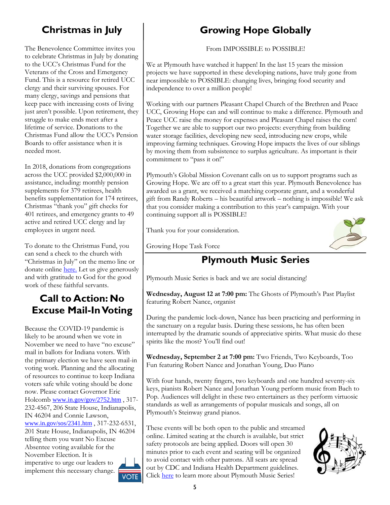# **Christmas in July**

The Benevolence Committee invites you to celebrate Christmas in July by donating to the UCC's Christmas Fund for the Veterans of the Cross and Emergency Fund. This is a resource for retired UCC clergy and their surviving spouses. For many clergy, savings and pensions that keep pace with increasing costs of living just aren't possible. Upon retirement, they struggle to make ends meet after a lifetime of service. Donations to the Christmas Fund allow the UCC's Pension Boards to offer assistance when it is needed most.

In 2018, donations from congregations across the UCC provided \$2,000,000 in assistance, including: monthly pension supplements for 379 retirees, health benefits supplementation for 174 retirees, Christmas "thank you" gift checks for 401 retirees, and emergency grants to 49 active and retired UCC clergy and lay employees in urgent need.

To donate to the Christmas Fund, you can send a check to the church with "Christmas in July" on the memo line or donate online [here.](https://www.eservicepayments.com/cgi-bin/Vanco_ver3.vps?appver3=wWsk24ZWJSTZKsGd1RMKlg0BDvsSG3VIWQCPJNNxD8upkiY7JlDavDsozUE7KG0nFx2NSo8LdUKGuGuF396vbVaiPstRo5nGq-DzvnYb662XHubq5Z7ap5JVmPErc4ZeYHCKCZhESjGNQmZ5B-6dx2HOd3DsUXzGmTYEh8VU7JU=&ver=3) Let us give generously and with gratitude to God for the good work of these faithful servants.

## **Call to Action: No Excuse Mail-In Voting**

Because the COVID-19 pandemic is likely to be around when we vote in November we need to have "no excuse" mail in ballots for Indiana voters. With the primary election we have seen mail-in voting work. Planning and the allocating of resources to continue to keep Indiana voters safe while voting should be done now. Please contact Governor Eric Holcomb [www.in.gov/gov/2752.htm](https://www.in.gov/gov/2752.htm), 317-232-4567, 206 State House, Indianapolis, IN 46204 and Connie Lawson, [www.in.gov/sos/2341.htm](https://www.in.gov/sos/2341.htm) , 317-232-6531, 201 State House, Indianapolis, IN 46204 telling them you want No Excuse Absentee voting available for the November Election. It is imperative to urge our leaders to implement this necessary change.

# **Growing Hope Globally**

From IMPOSSIBLE to POSSIBLE!

We at Plymouth have watched it happen! In the last 15 years the mission projects we have supported in these developing nations, have truly gone from near impossible to POSSIBLE: changing lives, bringing food security and independence to over a million people!

Working with our partners Pleasant Chapel Church of the Brethren and Peace UCC, Growing Hope can and will continue to make a difference. Plymouth and Peace UCC raise the money for expenses and Pleasant Chapel raises the corn! Together we are able to support our two projects: everything from building water storage facilities, developing new seed, introducing new crops, while improving farming techniques. Growing Hope impacts the lives of our siblings by moving them from subsistence to surplus agriculture. As important is their commitment to "pass it on!"

Plymouth's Global Mission Covenant calls on us to support programs such as Growing Hope. We are off to a great start this year. Plymouth Benevolence has awarded us a grant, we received a matching corporate grant, and a wonderful gift from Randy Roberts – his beautiful artwork – nothing is impossible! We ask that you consider making a contribution to this year's campaign. With your continuing support all is POSSIBLE!

Thank you for your consideration.



Growing Hope Task Force

# **Plymouth Music Series**

Plymouth Music Series is back and we are social distancing!

**Wednesday, August 12 at 7:00 pm:** The Ghosts of Plymouth's Past Playlist featuring Robert Nance, organist

During the pandemic lock-down, Nance has been practicing and performing in the sanctuary on a regular basis. During these sessions, he has often been interrupted by the dramatic sounds of appreciative spirits. What music do these spirits like the most? You'll find out!

**Wednesday, September 2 at 7:00 pm:** Two Friends, Two Keyboards, Too Fun featuring Robert Nance and Jonathan Young, Duo Piano

With four hands, twenty fingers, two keyboards and one hundred seventy-six keys, pianists Robert Nance and Jonathan Young perform music from Bach to Pop. Audiences will delight in these two entertainers as they perform virtuosic standards as well as arrangements of popular musicals and songs, all on Plymouth's Steinway grand pianos.

These events will be both open to the public and streamed online. Limited seating at the church is available, but strict safety protocols are being applied. Doors will open 30 minutes prior to each event and seating will be organized to avoid contact with other patrons. All seats are spread out by CDC and Indiana Health Department guidelines. Click [here](https://www.plymouthfw.org/plymouth-music-series) to learn more about Plymouth Music Series!